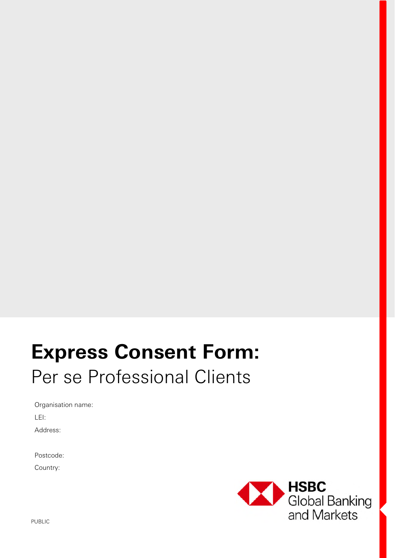# **Express Consent Form:**  Per se Professional Clients

Organisation name: LEI: Address:

Postcode:

Country:

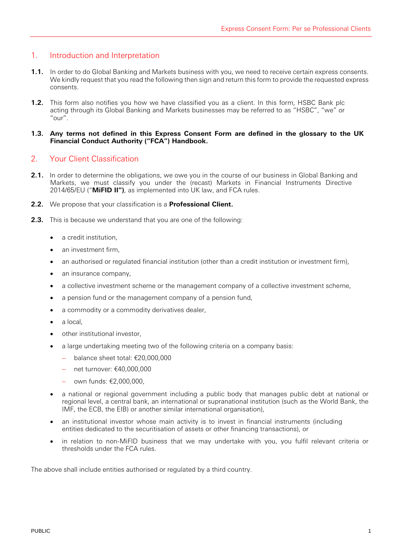## 1. Introduction and Interpretation

- **1.1.** In order to do Global Banking and Markets business with you, we need to receive certain express consents. We kindly request that you read the following then sign and return this form to provide the requested express consents.
- **1.2.** This form also notifies you how we have classified you as a client. In this form, HSBC Bank plc acting through its Global Banking and Markets businesses may be referred to as "HSBC", "we" or "our".

#### **1.3. Any terms not defined in this Express Consent Form are defined in the glossary to the UK Financial Conduct Authority ("FCA") Handbook.**

## 2. Your Client Classification

- **2.1.** In order to determine the obligations, we owe you in the course of our business in Global Banking and Markets, we must classify you under the (recast) Markets in Financial Instruments Directive 2014/65/EU ("**MiFID II")**, as implemented into UK law, and FCA rules.
- **2.2.** We propose that your classification is a **Professional Client.**
- **2.3.** This is because we understand that you are one of the following:
	- a credit institution,
	- an investment firm,
	- an authorised or regulated financial institution (other than a credit institution or investment firm),
	- an insurance company,
	- a collective investment scheme or the management company of a collective investment scheme,
	- a pension fund or the management company of a pension fund,
	- a commodity or a commodity derivatives dealer,
	- a local,
	- other institutional investor,
	- a large undertaking meeting two of the following criteria on a company basis:
		- balance sheet total:  $£20,000,000$
		- $-$  net turnover: €40,000,000
		- own funds: €2,000,000,
	- a national or regional government including a public body that manages public debt at national or regional level, a central bank, an international or supranational institution (such as the World Bank, the IMF, the ECB, the EIB) or another similar international organisation),
	- an institutional investor whose main activity is to invest in financial instruments (including entities dedicated to the securitisation of assets or other financing transactions), or
	- in relation to non-MiFID business that we may undertake with you, you fulfil relevant criteria or thresholds under the FCA rules.

The above shall include entities authorised or regulated by a third country.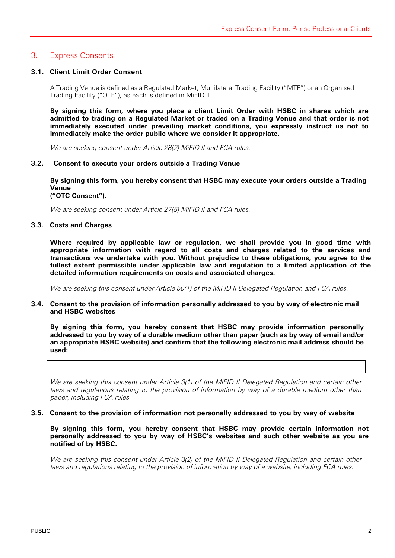## 3. Express Consents

#### **3.1. Client Limit Order Consent**

A Trading Venue is defined as a Regulated Market, Multilateral Trading Facility ("MTF") or an Organised Trading Facility ("OTF"), as each is defined in MiFID II.

**By signing this form, where you place a client Limit Order with HSBC in shares which are admitted to trading on a Regulated Market or traded on a Trading Venue and that order is not immediately executed under prevailing market conditions, you expressly instruct us not to immediately make the order public where we consider it appropriate.** 

We are seeking consent under Article 28(2) MiFID II and FCA rules.

#### **3.2. Consent to execute your orders outside a Trading Venue**

**By signing this form, you hereby consent that HSBC may execute your orders outside a Trading Venue ("OTC Consent").** 

We are seeking consent under Article 27(5) MiFID II and FCA rules.

#### **3.3. Costs and Charges**

**Where required by applicable law or regulation, we shall provide you in good time with appropriate information with regard to all costs and charges related to the services and transactions we undertake with you. Without prejudice to these obligations, you agree to the fullest extent permissible under applicable law and regulation to a limited application of the detailed information requirements on costs and associated charges.** 

We are seeking this consent under Article 50(1) of the MiFID II Delegated Regulation and FCA rules.

**3.4. Consent to the provision of information personally addressed to you by way of electronic mail and HSBC websites** 

**By signing this form, you hereby consent that HSBC may provide information personally addressed to you by way of a durable medium other than paper (such as by way of email and/or an appropriate HSBC website) and confirm that the following electronic mail address should be used:** 

We are seeking this consent under Article 3(1) of the MiFID II Delegated Regulation and certain other laws and regulations relating to the provision of information by way of a durable medium other than paper, including FCA rules.

### **3.5. Consent to the provision of information not personally addressed to you by way of website**

**By signing this form, you hereby consent that HSBC may provide certain information not personally addressed to you by way of HSBC's websites and such other website as you are notified of by HSBC.** 

We are seeking this consent under Article 3(2) of the MiFID II Delegated Regulation and certain other laws and regulations relating to the provision of information by way of a website, including FCA rules.